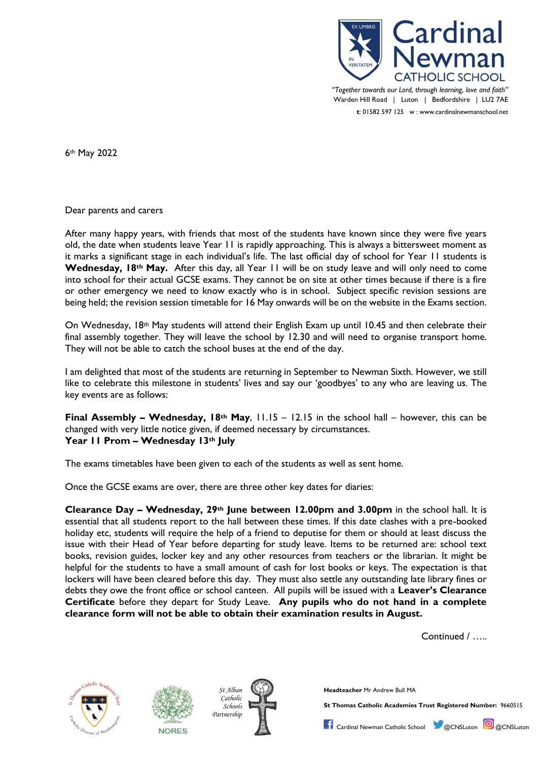

*"Together towards our Lord, through learning, love and faith"* Warden Hill Road | Luton | Bedfordshire | LU2 7AE **t**: 01582 597 125 w : www.cardinalnewmanschool.net

6th May 2022

Dear parents and carers

After many happy years, with friends that most of the students have known since they were five years old, the date when students leave Year 11 is rapidly approaching. This is always a bittersweet moment as it marks a significant stage in each individual's life. The last official day of school for Year 11 students is **Wednesday, 18th May.** After this day, all Year 11 will be on study leave and will only need to come into school for their actual GCSE exams. They cannot be on site at other times because if there is a fire or other emergency we need to know exactly who is in school. Subject specific revision sessions are being held; the revision session timetable for 16 May onwards will be on the website in the Exams section.

On Wednesday, 18<sup>th</sup> May students will attend their English Exam up until 10.45 and then celebrate their final assembly together. They will leave the school by 12.30 and will need to organise transport home. They will not be able to catch the school buses at the end of the day.

I am delighted that most of the students are returning in September to Newman Sixth. However, we still like to celebrate this milestone in students' lives and say our 'goodbyes' to any who are leaving us. The key events are as follows:

**Final Assembly – Wednesday, 18th May**, 11.15 – 12.15 in the school hall – however, this can be changed with very little notice given, if deemed necessary by circumstances. **Year 11 Prom – Wednesday 13th July**

The exams timetables have been given to each of the students as well as sent home.

Once the GCSE exams are over, there are three other key dates for diaries:

**Clearance Day – Wednesday, 29th June between 12.00pm and 3.00pm** in the school hall. It is essential that all students report to the hall between these times. If this date clashes with a pre-booked holiday etc, students will require the help of a friend to deputise for them or should at least discuss the issue with their Head of Year before departing for study leave. Items to be returned are: school text books, revision guides, locker key and any other resources from teachers or the librarian. It might be helpful for the students to have a small amount of cash for lost books or keys. The expectation is that lockers will have been cleared before this day. They must also settle any outstanding late library fines or debts they owe the front office or school canteen. All pupils will be issued with a **Leaver's Clearance Certificate** before they depart for Study Leave. **Any pupils who do not hand in a complete clearance form will not be able to obtain their examination results in August.**

Continued / …..







*St Alban* **Headteacher** Mr Andrew Bull MA

*Schools* **St Thomas Catholic Academies Trust Registered Number:** 9660515

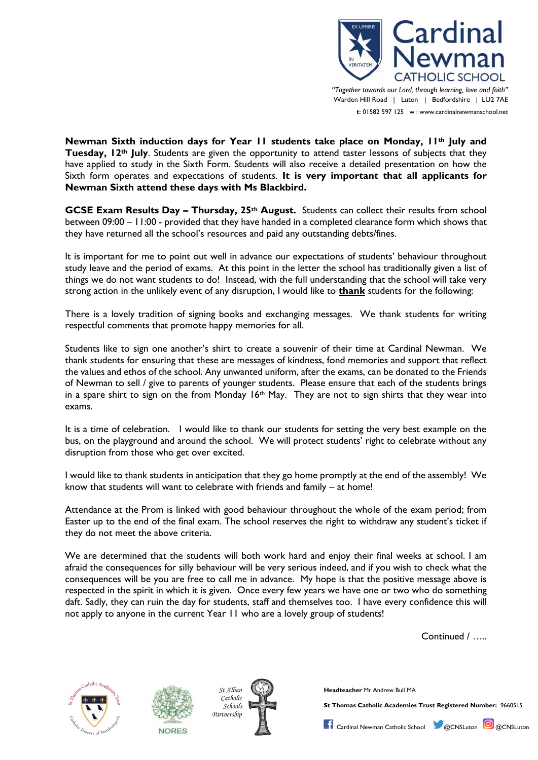

*"Together towards our Lord, through learning, love and faith"* Warden Hill Road | Luton | Bedfordshire | LU2 7AE **t**: 01582 597 125 w : www.cardinalnewmanschool.net

**Newman Sixth induction days for Year 11 students take place on Monday, 11th July and Tuesday, 12th July**. Students are given the opportunity to attend taster lessons of subjects that they have applied to study in the Sixth Form. Students will also receive a detailed presentation on how the Sixth form operates and expectations of students. **It is very important that all applicants for Newman Sixth attend these days with Ms Blackbird.**

**GCSE Exam Results Day – Thursday, 25th August.** Students can collect their results from school between 09:00 – 11:00 - provided that they have handed in a completed clearance form which shows that they have returned all the school's resources and paid any outstanding debts/fines.

It is important for me to point out well in advance our expectations of students' behaviour throughout study leave and the period of exams. At this point in the letter the school has traditionally given a list of things we do not want students to do! Instead, with the full understanding that the school will take very strong action in the unlikely event of any disruption, I would like to **thank** students for the following:

There is a lovely tradition of signing books and exchanging messages. We thank students for writing respectful comments that promote happy memories for all.

Students like to sign one another's shirt to create a souvenir of their time at Cardinal Newman. We thank students for ensuring that these are messages of kindness, fond memories and support that reflect the values and ethos of the school. Any unwanted uniform, after the exams, can be donated to the Friends of Newman to sell / give to parents of younger students. Please ensure that each of the students brings in a spare shirt to sign on the from Monday  $16<sup>th</sup>$  May. They are not to sign shirts that they wear into exams.

It is a time of celebration. I would like to thank our students for setting the very best example on the bus, on the playground and around the school. We will protect students' right to celebrate without any disruption from those who get over excited.

I would like to thank students in anticipation that they go home promptly at the end of the assembly! We know that students will want to celebrate with friends and family – at home!

Attendance at the Prom is linked with good behaviour throughout the whole of the exam period; from Easter up to the end of the final exam. The school reserves the right to withdraw any student's ticket if they do not meet the above criteria.

We are determined that the students will both work hard and enjoy their final weeks at school. I am afraid the consequences for silly behaviour will be very serious indeed, and if you wish to check what the consequences will be you are free to call me in advance. My hope is that the positive message above is respected in the spirit in which it is given. Once every few years we have one or two who do something daft. Sadly, they can ruin the day for students, staff and themselves too. I have every confidence this will not apply to anyone in the current Year 11 who are a lovely group of students!

Continued / …..







*St Alban* **Headteacher** Mr Andrew Bull MA

*Schools* **St Thomas Catholic Academies Trust Registered Number:** 9660515